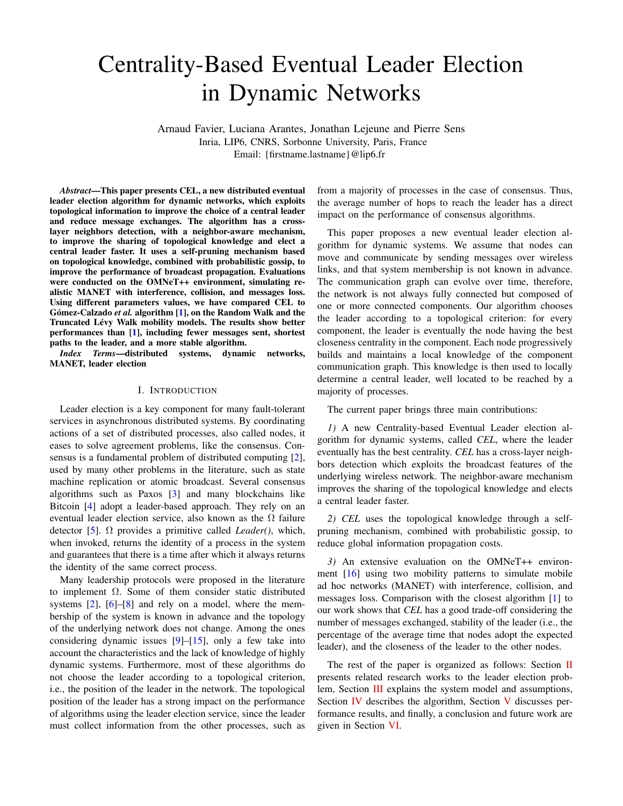# Centrality-Based Eventual Leader Election in Dynamic Networks

Arnaud Favier, Luciana Arantes, Jonathan Lejeune and Pierre Sens Inria, LIP6, CNRS, Sorbonne University, Paris, France Email: {firstname.lastname}@lip6.fr

*Abstract*—This paper presents CEL, a new distributed eventual leader election algorithm for dynamic networks, which exploits topological information to improve the choice of a central leader and reduce message exchanges. The algorithm has a crosslayer neighbors detection, with a neighbor-aware mechanism, to improve the sharing of topological knowledge and elect a central leader faster. It uses a self-pruning mechanism based on topological knowledge, combined with probabilistic gossip, to improve the performance of broadcast propagation. Evaluations were conducted on the OMNeT++ environment, simulating realistic MANET with interference, collision, and messages loss. Using different parameters values, we have compared CEL to Gómez-Calzado *et al.* algorithm [\[1\]](#page-7-0), on the Random Walk and the Truncated Lévy Walk mobility models. The results show better performances than [\[1\]](#page-7-0), including fewer messages sent, shortest paths to the leader, and a more stable algorithm.

*Index Terms*—distributed systems, dynamic networks, MANET, leader election

#### I. INTRODUCTION

Leader election is a key component for many fault-tolerant services in asynchronous distributed systems. By coordinating actions of a set of distributed processes, also called nodes, it eases to solve agreement problems, like the consensus. Consensus is a fundamental problem of distributed computing [\[2\]](#page-7-1), used by many other problems in the literature, such as state machine replication or atomic broadcast. Several consensus algorithms such as Paxos [\[3\]](#page-7-2) and many blockchains like Bitcoin [\[4\]](#page-7-3) adopt a leader-based approach. They rely on an eventual leader election service, also known as the  $\Omega$  failure detector [\[5\]](#page-7-4).  $\Omega$  provides a primitive called *Leader()*, which, when invoked, returns the identity of a process in the system and guarantees that there is a time after which it always returns the identity of the same correct process.

Many leadership protocols were proposed in the literature to implement  $\Omega$ . Some of them consider static distributed systems [\[2\]](#page-7-1), [\[6\]](#page-7-5)–[\[8\]](#page-7-6) and rely on a model, where the membership of the system is known in advance and the topology of the underlying network does not change. Among the ones considering dynamic issues [\[9\]](#page-7-7)–[\[15\]](#page-7-8), only a few take into account the characteristics and the lack of knowledge of highly dynamic systems. Furthermore, most of these algorithms do not choose the leader according to a topological criterion, i.e., the position of the leader in the network. The topological position of the leader has a strong impact on the performance of algorithms using the leader election service, since the leader must collect information from the other processes, such as

from a majority of processes in the case of consensus. Thus, the average number of hops to reach the leader has a direct impact on the performance of consensus algorithms.

This paper proposes a new eventual leader election algorithm for dynamic systems. We assume that nodes can move and communicate by sending messages over wireless links, and that system membership is not known in advance. The communication graph can evolve over time, therefore, the network is not always fully connected but composed of one or more connected components. Our algorithm chooses the leader according to a topological criterion: for every component, the leader is eventually the node having the best closeness centrality in the component. Each node progressively builds and maintains a local knowledge of the component communication graph. This knowledge is then used to locally determine a central leader, well located to be reached by a majority of processes.

The current paper brings three main contributions:

*1)* A new Centrality-based Eventual Leader election algorithm for dynamic systems, called *CEL*, where the leader eventually has the best centrality. *CEL* has a cross-layer neighbors detection which exploits the broadcast features of the underlying wireless network. The neighbor-aware mechanism improves the sharing of the topological knowledge and elects a central leader faster.

*2) CEL* uses the topological knowledge through a selfpruning mechanism, combined with probabilistic gossip, to reduce global information propagation costs.

*3)* An extensive evaluation on the OMNeT++ environment [\[16\]](#page-7-9) using two mobility patterns to simulate mobile ad hoc networks (MANET) with interference, collision, and messages loss. Comparison with the closest algorithm [\[1\]](#page-7-0) to our work shows that *CEL* has a good trade-off considering the number of messages exchanged, stability of the leader (i.e., the percentage of the average time that nodes adopt the expected leader), and the closeness of the leader to the other nodes.

The rest of the paper is organized as follows: Section [II](#page-1-0) presents related research works to the leader election problem, Section [III](#page-1-1) explains the system model and assumptions, Section [IV](#page-2-0) describes the algorithm, Section [V](#page-3-0) discusses performance results, and finally, a conclusion and future work are given in Section [VI.](#page-7-10)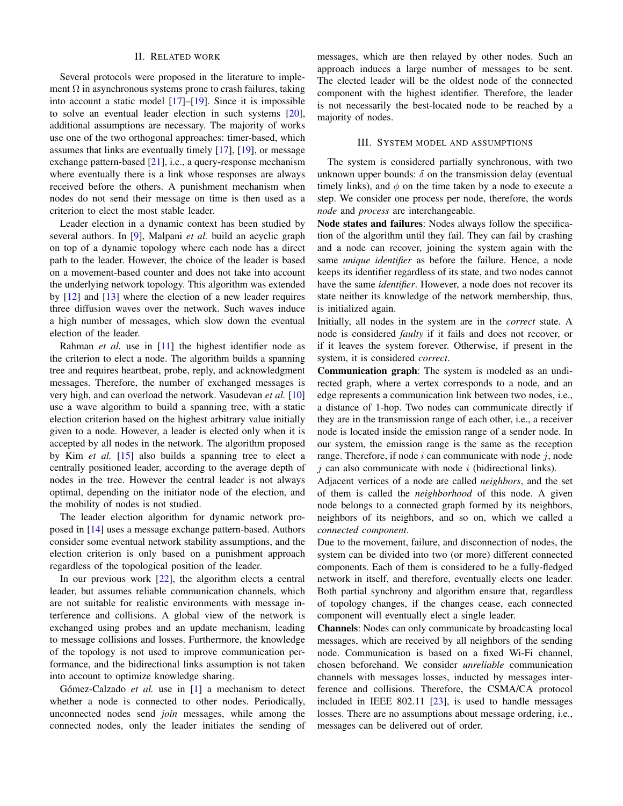## II. RELATED WORK

<span id="page-1-0"></span>Several protocols were proposed in the literature to implement  $\Omega$  in asynchronous systems prone to crash failures, taking into account a static model [\[17\]](#page-7-11)–[\[19\]](#page-7-12). Since it is impossible to solve an eventual leader election in such systems [\[20\]](#page-7-13), additional assumptions are necessary. The majority of works use one of the two orthogonal approaches: timer-based, which assumes that links are eventually timely [\[17\]](#page-7-11), [\[19\]](#page-7-12), or message exchange pattern-based [\[21\]](#page-7-14), i.e., a query-response mechanism where eventually there is a link whose responses are always received before the others. A punishment mechanism when nodes do not send their message on time is then used as a criterion to elect the most stable leader.

Leader election in a dynamic context has been studied by several authors. In [\[9\]](#page-7-7), Malpani *et al.* build an acyclic graph on top of a dynamic topology where each node has a direct path to the leader. However, the choice of the leader is based on a movement-based counter and does not take into account the underlying network topology. This algorithm was extended by [\[12\]](#page-7-15) and [\[13\]](#page-7-16) where the election of a new leader requires three diffusion waves over the network. Such waves induce a high number of messages, which slow down the eventual election of the leader.

Rahman *et al.* use in [\[11\]](#page-7-17) the highest identifier node as the criterion to elect a node. The algorithm builds a spanning tree and requires heartbeat, probe, reply, and acknowledgment messages. Therefore, the number of exchanged messages is very high, and can overload the network. Vasudevan *et al.* [\[10\]](#page-7-18) use a wave algorithm to build a spanning tree, with a static election criterion based on the highest arbitrary value initially given to a node. However, a leader is elected only when it is accepted by all nodes in the network. The algorithm proposed by Kim *et al.* [\[15\]](#page-7-8) also builds a spanning tree to elect a centrally positioned leader, according to the average depth of nodes in the tree. However the central leader is not always optimal, depending on the initiator node of the election, and the mobility of nodes is not studied.

The leader election algorithm for dynamic network proposed in [\[14\]](#page-7-19) uses a message exchange pattern-based. Authors consider some eventual network stability assumptions, and the election criterion is only based on a punishment approach regardless of the topological position of the leader.

In our previous work [\[22\]](#page-7-20), the algorithm elects a central leader, but assumes reliable communication channels, which are not suitable for realistic environments with message interference and collisions. A global view of the network is exchanged using probes and an update mechanism, leading to message collisions and losses. Furthermore, the knowledge of the topology is not used to improve communication performance, and the bidirectional links assumption is not taken into account to optimize knowledge sharing.

Gómez-Calzado *et al.* use in [\[1\]](#page-7-0) a mechanism to detect whether a node is connected to other nodes. Periodically, unconnected nodes send *join* messages, while among the connected nodes, only the leader initiates the sending of messages, which are then relayed by other nodes. Such an approach induces a large number of messages to be sent. The elected leader will be the oldest node of the connected component with the highest identifier. Therefore, the leader is not necessarily the best-located node to be reached by a majority of nodes.

#### III. SYSTEM MODEL AND ASSUMPTIONS

<span id="page-1-1"></span>The system is considered partially synchronous, with two unknown upper bounds:  $\delta$  on the transmission delay (eventual timely links), and  $\phi$  on the time taken by a node to execute a step. We consider one process per node, therefore, the words *node* and *process* are interchangeable.

Node states and failures: Nodes always follow the specification of the algorithm until they fail. They can fail by crashing and a node can recover, joining the system again with the same *unique identifier* as before the failure. Hence, a node keeps its identifier regardless of its state, and two nodes cannot have the same *identifier*. However, a node does not recover its state neither its knowledge of the network membership, thus, is initialized again.

Initially, all nodes in the system are in the *correct* state. A node is considered *faulty* if it fails and does not recover, or if it leaves the system forever. Otherwise, if present in the system, it is considered *correct*.

Communication graph: The system is modeled as an undirected graph, where a vertex corresponds to a node, and an edge represents a communication link between two nodes, i.e., a distance of 1-hop. Two nodes can communicate directly if they are in the transmission range of each other, i.e., a receiver node is located inside the emission range of a sender node. In our system, the emission range is the same as the reception range. Therefore, if node  $i$  can communicate with node  $j$ , node  $j$  can also communicate with node  $i$  (bidirectional links).

Adjacent vertices of a node are called *neighbors*, and the set of them is called the *neighborhood* of this node. A given node belongs to a connected graph formed by its neighbors, neighbors of its neighbors, and so on, which we called a *connected component*.

Due to the movement, failure, and disconnection of nodes, the system can be divided into two (or more) different connected components. Each of them is considered to be a fully-fledged network in itself, and therefore, eventually elects one leader. Both partial synchrony and algorithm ensure that, regardless of topology changes, if the changes cease, each connected component will eventually elect a single leader.

Channels: Nodes can only communicate by broadcasting local messages, which are received by all neighbors of the sending node. Communication is based on a fixed Wi-Fi channel, chosen beforehand. We consider *unreliable* communication channels with messages losses, inducted by messages interference and collisions. Therefore, the CSMA/CA protocol included in IEEE 802.11 [\[23\]](#page-7-21), is used to handle messages losses. There are no assumptions about message ordering, i.e., messages can be delivered out of order.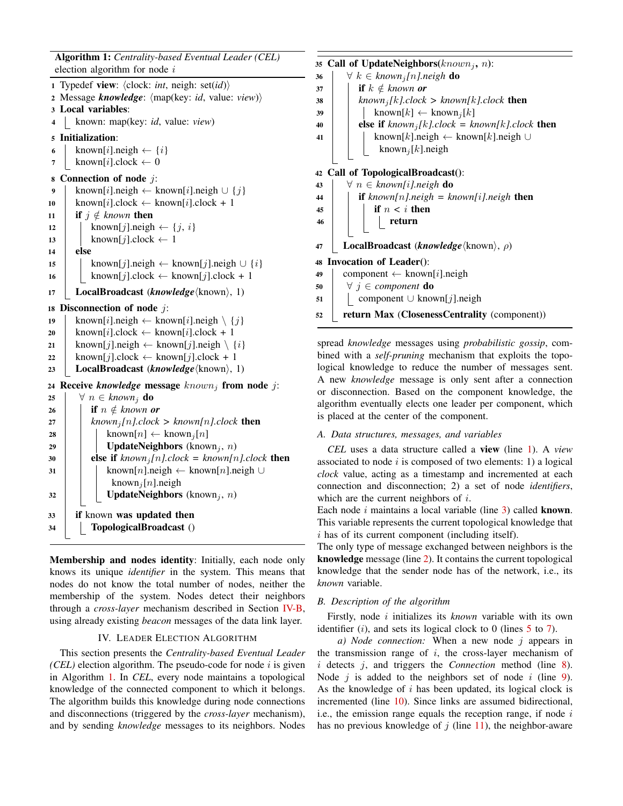Algorithm 1: *Centrality-based Eventual Leader (CEL)* election algorithm for node  $i$ 

<span id="page-2-18"></span><span id="page-2-17"></span><span id="page-2-16"></span><span id="page-2-15"></span><span id="page-2-14"></span><span id="page-2-13"></span><span id="page-2-12"></span><span id="page-2-11"></span><span id="page-2-10"></span><span id="page-2-9"></span><span id="page-2-8"></span><span id="page-2-7"></span><span id="page-2-6"></span><span id="page-2-5"></span><span id="page-2-4"></span><span id="page-2-3"></span>1 Typedef view:  $\langle$  clock: *int*, neigh: set(*id*)) 2 Message *knowledge*:  $\langle \text{map}(\text{key: } id, \text{ value: } view) \rangle$ <sup>3</sup> Local variables: <sup>4</sup> known: map(key: *id*, value: *view*) <sup>5</sup> Initialization: 6 | known[i].neigh  $\leftarrow \{i\}$ 7 | known[i].clock  $\leftarrow$  0 8 Connection of node  $j$ : 9 known[i].neigh ← known[i].neigh  $\cup$  {j} 10 known[i].clock  $\leftarrow$  known[i].clock + 1 11 **if**  $j \notin known$  then 12 | known[j].neigh  $\leftarrow \{j, i\}$ 13 | known[j].clock  $\leftarrow$  1 14 else 15 | known[j].neigh ← known[j].neigh ∪ {*i*} 16 known $[j]$ .clock ← known $[j]$ .clock + 1 17 | **LocalBroadcast** (*knowledge* (*known*), 1) 18 Disconnection of node  $j$ : 19 known[i].neigh  $\leftarrow$  known[i].neigh  $\setminus \{j\}$ 20 known[i].clock  $\leftarrow$  known[i].clock + 1 21 | known[j].neigh ← known[j].neigh \ {*i*} 22 known[j].clock  $\leftarrow$  known[j].clock + 1 23 | **LocalBroadcast** (*knowledge* (*known*), 1) <sup>24</sup> Receive *knowledge* message known<sup>j</sup> from node j: 25  $\forall n \in known_i$  do 26 **if**  $n \notin$  *known* or  $27$  **known**<sub>i</sub> $[n]$ .clock > known $[n]$ .clock then 28 | | | known $[n] \leftarrow \text{known}[n]$ 29 | | UpdateNeighbors (known<sub>j</sub>, *n*) 30 **else if**  $known<sub>i</sub>[n].clock = known[n].clock$  then 31 | known[n].neigh ← known[n].neigh ∪ known<sub>i</sub> [n].neigh  $32$  | | UpdateNeighbors (known<sub>j</sub>, *n*) 33 **if known was updated then** <sup>34</sup> TopologicalBroadcast ()

<span id="page-2-33"></span><span id="page-2-32"></span><span id="page-2-31"></span><span id="page-2-30"></span><span id="page-2-29"></span><span id="page-2-28"></span><span id="page-2-27"></span><span id="page-2-26"></span><span id="page-2-25"></span><span id="page-2-24"></span><span id="page-2-23"></span><span id="page-2-22"></span><span id="page-2-21"></span><span id="page-2-20"></span><span id="page-2-19"></span><span id="page-2-2"></span>Membership and nodes identity: Initially, each node only knows its unique *identifier* in the system. This means that nodes do not know the total number of nodes, neither the membership of the system. Nodes detect their neighbors through a *cross-layer* mechanism described in Section [IV-B,](#page-2-1) using already existing *beacon* messages of the data link layer.

# IV. LEADER ELECTION ALGORITHM

<span id="page-2-0"></span>This section presents the *Centrality-based Eventual Leader*  $(CEL)$  election algorithm. The pseudo-code for node  $i$  is given in Algorithm [1.](#page-2-2) In *CEL*, every node maintains a topological knowledge of the connected component to which it belongs. The algorithm builds this knowledge during node connections and disconnections (triggered by the *cross-layer* mechanism), and by sending *knowledge* messages to its neighbors. Nodes

<span id="page-2-43"></span><span id="page-2-42"></span><span id="page-2-41"></span><span id="page-2-40"></span><span id="page-2-39"></span><span id="page-2-38"></span><span id="page-2-37"></span><span id="page-2-36"></span><span id="page-2-35"></span><span id="page-2-34"></span>35 Call of UpdateNeighbors( $known_i$ , n):  $\forall k \in \text{known}_i[n].\text{neigh do}$  **if**  $k \notin$  *known* or *known*<sub>i</sub>[k].clock > known[k].clock then 39 | | known $[k] \leftarrow \text{known}[k]$ **else if**  $known_i[k].clock = known[k].clock$  then 41 known[k].neigh ← known[k].neigh ∪ known<sub>i</sub> [k].neigh Call of TopologicalBroadcast():  $\forall n \in \text{known}[i].\text{neigh do}$  if *known[*n*].neigh = known[*i*].neigh* then **if**  $n < i$  then 46 | | | | | **return LocalBroadcast** (*knowledge* (known), ρ) Invocation of Leader(): 49 component  $\leftarrow$  known[i].neigh  $\forall j \in component$  do component ∪ known[j].neigh 52 | return Max (ClosenessCentrality (component))

<span id="page-2-49"></span><span id="page-2-48"></span><span id="page-2-47"></span><span id="page-2-46"></span><span id="page-2-45"></span><span id="page-2-44"></span>spread *knowledge* messages using *probabilistic gossip*, combined with a *self-pruning* mechanism that exploits the topological knowledge to reduce the number of messages sent. A new *knowledge* message is only sent after a connection or disconnection. Based on the component knowledge, the algorithm eventually elects one leader per component, which is placed at the center of the component.

# *A. Data structures, messages, and variables*

*CEL* uses a data structure called a view (line [1\)](#page-2-3). A *view* associated to node  $i$  is composed of two elements: 1) a logical *clock* value, acting as a timestamp and incremented at each connection and disconnection; 2) a set of node *identifiers*, which are the current neighbors of  $i$ .

Each node  $i$  maintains a local variable (line [3\)](#page-2-4) called **known**. This variable represents the current topological knowledge that  $i$  has of its current component (including itself).

The only type of message exchanged between neighbors is the knowledge message (line [2\)](#page-2-5). It contains the current topological knowledge that the sender node has of the network, i.e., its *known* variable.

#### <span id="page-2-1"></span>*B. Description of the algorithm*

Firstly, node i initializes its *known* variable with its own identifier  $(i)$ , and sets its logical clock to 0 (lines [5](#page-2-6) to [7\)](#page-2-7).

*a) Node connection:* When a new node j appears in the transmission range of  $i$ , the cross-layer mechanism of i detects j, and triggers the *Connection* method (line [8\)](#page-2-8). Node  $j$  is added to the neighbors set of node  $i$  (line [9\)](#page-2-9). As the knowledge of  $i$  has been updated, its logical clock is incremented (line [10\)](#page-2-10). Since links are assumed bidirectional, i.e., the emission range equals the reception range, if node  $i$ has no previous knowledge of  $j$  (line [11\)](#page-2-11), the neighbor-aware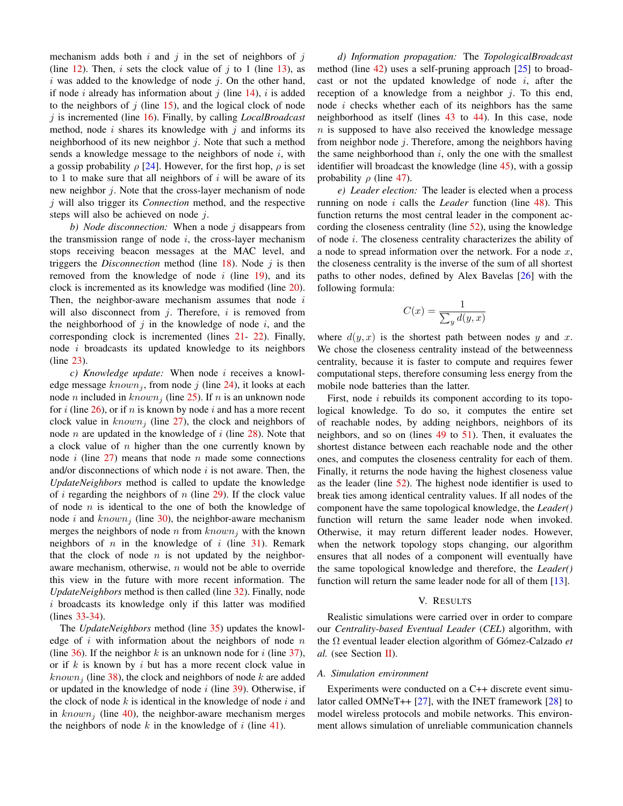mechanism adds both  $i$  and  $j$  in the set of neighbors of  $j$ (line [12\)](#page-2-12). Then, i sets the clock value of j to 1 (line [13\)](#page-2-13), as  $i$  was added to the knowledge of node  $j$ . On the other hand, if node i already has information about j (line [14\)](#page-2-14), i is added to the neighbors of  $j$  (line [15\)](#page-2-15), and the logical clock of node j is incremented (line [16\)](#page-2-16). Finally, by calling *LocalBroadcast* method, node  $i$  shares its knowledge with  $j$  and informs its neighborhood of its new neighbor  $i$ . Note that such a method sends a knowledge message to the neighbors of node  $i$ , with a gossip probability  $\rho$  [\[24\]](#page-7-22). However, for the first hop,  $\rho$  is set to 1 to make sure that all neighbors of  $i$  will be aware of its new neighbor j. Note that the cross-layer mechanism of node j will also trigger its *Connection* method, and the respective steps will also be achieved on node  $i$ .

*b) Node disconnection:* When a node j disappears from the transmission range of node  $i$ , the cross-layer mechanism stops receiving beacon messages at the MAC level, and triggers the *Disconnection* method (line  $18$ ). Node  $j$  is then removed from the knowledge of node  $i$  (line [19\)](#page-2-18), and its clock is incremented as its knowledge was modified (line [20\)](#page-2-19). Then, the neighbor-aware mechanism assumes that node  $i$ will also disconnect from  $j$ . Therefore,  $i$  is removed from the neighborhood of  $j$  in the knowledge of node  $i$ , and the corresponding clock is incremented (lines [21-](#page-2-20) [22\)](#page-2-21). Finally, node i broadcasts its updated knowledge to its neighbors (line [23\)](#page-2-22).

*c) Knowledge update:* When node i receives a knowledge message  $known_j$ , from node j (line [24\)](#page-2-23), it looks at each node *n* included in  $known_i$  (line [25\)](#page-2-24). If *n* is an unknown node for i (line  $26$ ), or if n is known by node i and has a more recent clock value in  $known_i$  (line [27\)](#page-2-26), the clock and neighbors of node *n* are updated in the knowledge of  $i$  (line [28\)](#page-2-27). Note that a clock value of  $n$  higher than the one currently known by node i (line  $27$ ) means that node n made some connections and/or disconnections of which node  $i$  is not aware. Then, the *UpdateNeighbors* method is called to update the knowledge of i regarding the neighbors of  $n$  (line [29\)](#page-2-28). If the clock value of node  $n$  is identical to the one of both the knowledge of node i and  $known_i$  (line [30\)](#page-2-29), the neighbor-aware mechanism merges the neighbors of node n from  $known_i$  with the known neighbors of  $n$  in the knowledge of  $i$  (line [31\)](#page-2-30). Remark that the clock of node  $n$  is not updated by the neighboraware mechanism, otherwise,  $n$  would not be able to override this view in the future with more recent information. The *UpdateNeighbors* method is then called (line [32\)](#page-2-31). Finally, node  $i$  broadcasts its knowledge only if this latter was modified (lines [33-](#page-2-32)[34\)](#page-2-33).

The *UpdateNeighbors* method (line [35\)](#page-2-34) updates the knowledge of i with information about the neighbors of node  $n$ (line [36\)](#page-2-35). If the neighbor k is an unknown node for i (line [37\)](#page-2-36), or if  $k$  is known by  $i$  but has a more recent clock value in  $known_i$  (line [38\)](#page-2-37), the clock and neighbors of node k are added or updated in the knowledge of node  $i$  (line [39\)](#page-2-38). Otherwise, if the clock of node  $k$  is identical in the knowledge of node  $i$  and in  $known_i$  (line [40\)](#page-2-39), the neighbor-aware mechanism merges the neighbors of node  $k$  in the knowledge of i (line [41\)](#page-2-40).

*d) Information propagation:* The *TopologicalBroadcast* method (line [42\)](#page-2-41) uses a self-pruning approach [\[25\]](#page-7-23) to broadcast or not the updated knowledge of node  $i$ , after the reception of a knowledge from a neighbor  $j$ . To this end, node i checks whether each of its neighbors has the same neighborhood as itself (lines [43](#page-2-42) to [44\)](#page-2-43). In this case, node  $n$  is supposed to have also received the knowledge message from neighbor node  $i$ . Therefore, among the neighbors having the same neighborhood than  $i$ , only the one with the smallest identifier will broadcast the knowledge (line [45\)](#page-2-44), with a gossip probability  $\rho$  (line [47\)](#page-2-45).

*e) Leader election:* The leader is elected when a process running on node i calls the *Leader* function (line [48\)](#page-2-46). This function returns the most central leader in the component according the closeness centrality (line [52\)](#page-2-47), using the knowledge of node  $i$ . The closeness centrality characterizes the ability of a node to spread information over the network. For a node  $x$ , the closeness centrality is the inverse of the sum of all shortest paths to other nodes, defined by Alex Bavelas [\[26\]](#page-7-24) with the following formula:

$$
C(x) = \frac{1}{\sum_{y} d(y, x)}
$$

where  $d(y, x)$  is the shortest path between nodes y and x. We chose the closeness centrality instead of the betweenness centrality, because it is faster to compute and requires fewer computational steps, therefore consuming less energy from the mobile node batteries than the latter.

First, node  $i$  rebuilds its component according to its topological knowledge. To do so, it computes the entire set of reachable nodes, by adding neighbors, neighbors of its neighbors, and so on (lines [49](#page-2-48) to [51\)](#page-2-49). Then, it evaluates the shortest distance between each reachable node and the other ones, and computes the closeness centrality for each of them. Finally, it returns the node having the highest closeness value as the leader (line [52\)](#page-2-47). The highest node identifier is used to break ties among identical centrality values. If all nodes of the component have the same topological knowledge, the *Leader()* function will return the same leader node when invoked. Otherwise, it may return different leader nodes. However, when the network topology stops changing, our algorithm ensures that all nodes of a component will eventually have the same topological knowledge and therefore, the *Leader()* function will return the same leader node for all of them [\[13\]](#page-7-16).

### V. RESULTS

<span id="page-3-0"></span>Realistic simulations were carried over in order to compare our *Centrality-based Eventual Leader* (*CEL*) algorithm, with the Ω eventual leader election algorithm of Gómez-Calzado *et al.* (see Section [II\)](#page-1-0).

## <span id="page-3-1"></span>*A. Simulation environment*

Experiments were conducted on a C++ discrete event simulator called OMNeT++ [\[27\]](#page-7-25), with the INET framework [\[28\]](#page-7-26) to model wireless protocols and mobile networks. This environment allows simulation of unreliable communication channels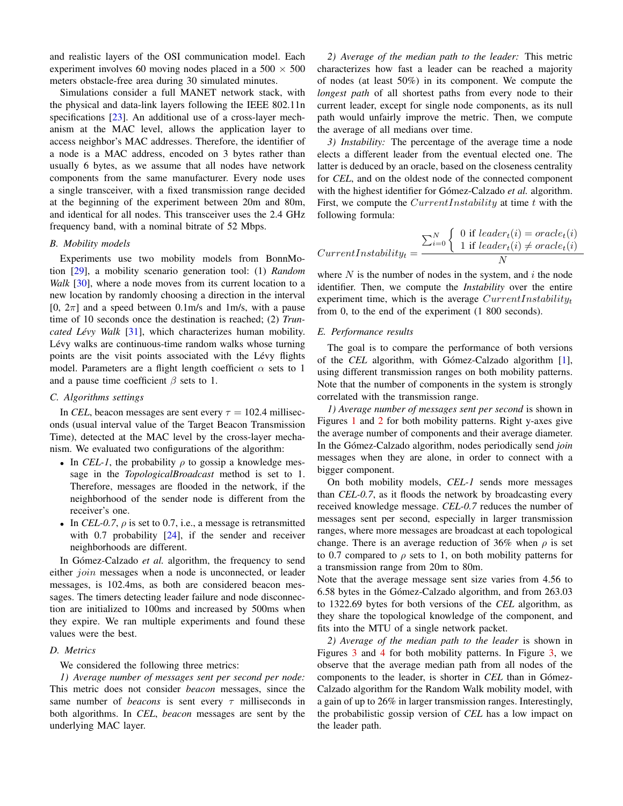and realistic layers of the OSI communication model. Each experiment involves 60 moving nodes placed in a  $500 \times 500$ meters obstacle-free area during 30 simulated minutes.

Simulations consider a full MANET network stack, with the physical and data-link layers following the IEEE 802.11n specifications [\[23\]](#page-7-21). An additional use of a cross-layer mechanism at the MAC level, allows the application layer to access neighbor's MAC addresses. Therefore, the identifier of a node is a MAC address, encoded on 3 bytes rather than usually 6 bytes, as we assume that all nodes have network components from the same manufacturer. Every node uses a single transceiver, with a fixed transmission range decided at the beginning of the experiment between 20m and 80m, and identical for all nodes. This transceiver uses the 2.4 GHz frequency band, with a nominal bitrate of 52 Mbps.

## *B. Mobility models*

Experiments use two mobility models from BonnMotion [\[29\]](#page-7-27), a mobility scenario generation tool: (1) *Random Walk* [\[30\]](#page-7-28), where a node moves from its current location to a new location by randomly choosing a direction in the interval  $[0, 2\pi]$  and a speed between 0.1m/s and 1m/s, with a pause time of 10 seconds once the destination is reached; (2) *Truncated Lévy Walk* [\[31\]](#page-7-29), which characterizes human mobility. Lévy walks are continuous-time random walks whose turning points are the visit points associated with the Lévy flights model. Parameters are a flight length coefficient  $\alpha$  sets to 1 and a pause time coefficient  $\beta$  sets to 1.

# *C. Algorithms settings*

In *CEL*, beacon messages are sent every  $\tau = 102.4$  milliseconds (usual interval value of the Target Beacon Transmission Time), detected at the MAC level by the cross-layer mechanism. We evaluated two configurations of the algorithm:

- In *CEL-1*, the probability  $\rho$  to gossip a knowledge message in the *TopologicalBroadcast* method is set to 1. Therefore, messages are flooded in the network, if the neighborhood of the sender node is different from the receiver's one.
- In *CEL-0.7*,  $\rho$  is set to 0.7, i.e., a message is retransmitted with 0.7 probability [\[24\]](#page-7-22), if the sender and receiver neighborhoods are different.

In Gómez-Calzado *et al.* algorithm, the frequency to send either *join* messages when a node is unconnected, or leader messages, is 102.4ms, as both are considered beacon messages. The timers detecting leader failure and node disconnection are initialized to 100ms and increased by 500ms when they expire. We ran multiple experiments and found these values were the best.

# *D. Metrics*

We considered the following three metrics:

*1) Average number of messages sent per second per node:* This metric does not consider *beacon* messages, since the same number of *beacons* is sent every  $\tau$  milliseconds in both algorithms. In *CEL*, *beacon* messages are sent by the underlying MAC layer.

*2) Average of the median path to the leader:* This metric characterizes how fast a leader can be reached a majority of nodes (at least 50%) in its component. We compute the *longest path* of all shortest paths from every node to their current leader, except for single node components, as its null path would unfairly improve the metric. Then, we compute the average of all medians over time.

*3) Instability:* The percentage of the average time a node elects a different leader from the eventual elected one. The latter is deduced by an oracle, based on the closeness centrality for *CEL*, and on the oldest node of the connected component with the highest identifier for Gómez-Calzado *et al.* algorithm. First, we compute the  $CurrentInstability$  at time t with the following formula:

$$
Current Instability_t = \frac{\sum_{i=0}^{N} \begin{cases} 0 \text{ if } leader_t(i) = oracle_t(i) \\ 1 \text{ if } leader_t(i) \neq oracle_t(i) \end{cases}}{N}
$$

where  $N$  is the number of nodes in the system, and  $i$  the node identifier. Then, we compute the *Instability* over the entire experiment time, which is the average  $Current Instability_t$ from 0, to the end of the experiment (1 800 seconds).

#### *E. Performance results*

The goal is to compare the performance of both versions of the *CEL* algorithm, with Gómez-Calzado algorithm [\[1\]](#page-7-0), using different transmission ranges on both mobility patterns. Note that the number of components in the system is strongly correlated with the transmission range.

*1) Average number of messages sent per second* is shown in Figures [1](#page-5-0) and [2](#page-5-0) for both mobility patterns. Right y-axes give the average number of components and their average diameter. In the Gómez-Calzado algorithm, nodes periodically send *join* messages when they are alone, in order to connect with a bigger component.

On both mobility models, *CEL-1* sends more messages than *CEL-0.7*, as it floods the network by broadcasting every received knowledge message. *CEL-0.7* reduces the number of messages sent per second, especially in larger transmission ranges, where more messages are broadcast at each topological change. There is an average reduction of 36% when  $\rho$  is set to 0.7 compared to  $\rho$  sets to 1, on both mobility patterns for a transmission range from 20m to 80m.

Note that the average message sent size varies from 4.56 to 6.58 bytes in the Gómez-Calzado algorithm, and from 263.03 to 1322.69 bytes for both versions of the *CEL* algorithm, as they share the topological knowledge of the component, and fits into the MTU of a single network packet.

*2) Average of the median path to the leader* is shown in Figures [3](#page-5-1) and [4](#page-5-1) for both mobility patterns. In Figure [3,](#page-5-1) we observe that the average median path from all nodes of the components to the leader, is shorter in *CEL* than in Gómez-Calzado algorithm for the Random Walk mobility model, with a gain of up to 26% in larger transmission ranges. Interestingly, the probabilistic gossip version of *CEL* has a low impact on the leader path.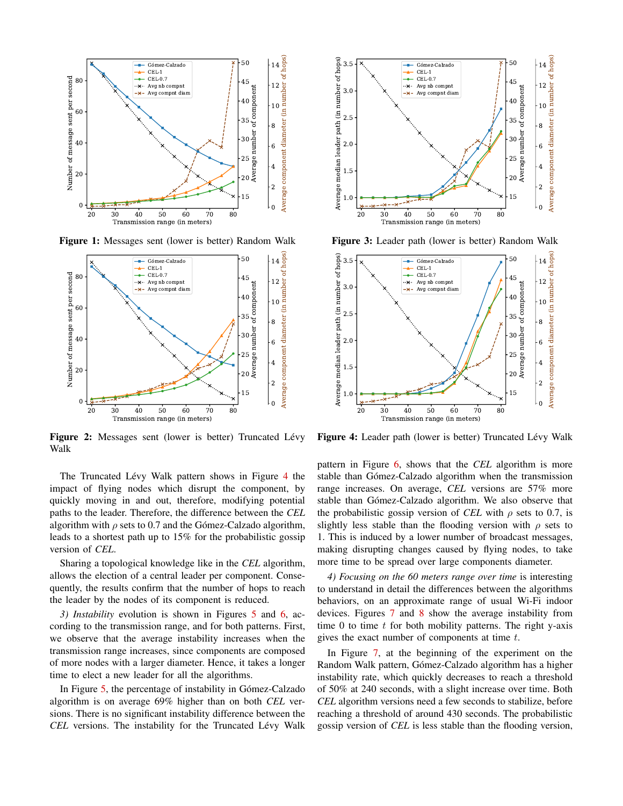<span id="page-5-0"></span>

Figure 1: Messages sent (lower is better) Random Walk



Figure 2: Messages sent (lower is better) Truncated Lévy Walk

The Truncated Lévy Walk pattern shows in Figure [4](#page-5-1) the impact of flying nodes which disrupt the component, by quickly moving in and out, therefore, modifying potential paths to the leader. Therefore, the difference between the *CEL* algorithm with  $\rho$  sets to 0.7 and the Gómez-Calzado algorithm, leads to a shortest path up to 15% for the probabilistic gossip version of *CEL*.

Sharing a topological knowledge like in the *CEL* algorithm, allows the election of a central leader per component. Consequently, the results confirm that the number of hops to reach the leader by the nodes of its component is reduced.

*3) Instability* evolution is shown in Figures [5](#page-6-0) and [6,](#page-6-0) according to the transmission range, and for both patterns. First, we observe that the average instability increases when the transmission range increases, since components are composed of more nodes with a larger diameter. Hence, it takes a longer time to elect a new leader for all the algorithms.

In Figure [5,](#page-6-0) the percentage of instability in Gómez-Calzado algorithm is on average 69% higher than on both *CEL* versions. There is no significant instability difference between the *CEL* versions. The instability for the Truncated Lévy Walk

<span id="page-5-1"></span>

Figure 3: Leader path (lower is better) Random Walk



Figure 4: Leader path (lower is better) Truncated Lévy Walk

pattern in Figure [6,](#page-6-0) shows that the *CEL* algorithm is more stable than Gómez-Calzado algorithm when the transmission range increases. On average, *CEL* versions are 57% more stable than Gómez-Calzado algorithm. We also observe that the probabilistic gossip version of *CEL* with  $\rho$  sets to 0.7, is slightly less stable than the flooding version with  $\rho$  sets to 1. This is induced by a lower number of broadcast messages, making disrupting changes caused by flying nodes, to take more time to be spread over large components diameter.

*4) Focusing on the 60 meters range over time* is interesting to understand in detail the differences between the algorithms behaviors, on an approximate range of usual Wi-Fi indoor devices. Figures [7](#page-6-1) and [8](#page-6-1) show the average instability from time 0 to time  $t$  for both mobility patterns. The right y-axis gives the exact number of components at time  $t$ .

In Figure [7,](#page-6-1) at the beginning of the experiment on the Random Walk pattern, Gómez-Calzado algorithm has a higher instability rate, which quickly decreases to reach a threshold of 50% at 240 seconds, with a slight increase over time. Both *CEL* algorithm versions need a few seconds to stabilize, before reaching a threshold of around 430 seconds. The probabilistic gossip version of *CEL* is less stable than the flooding version,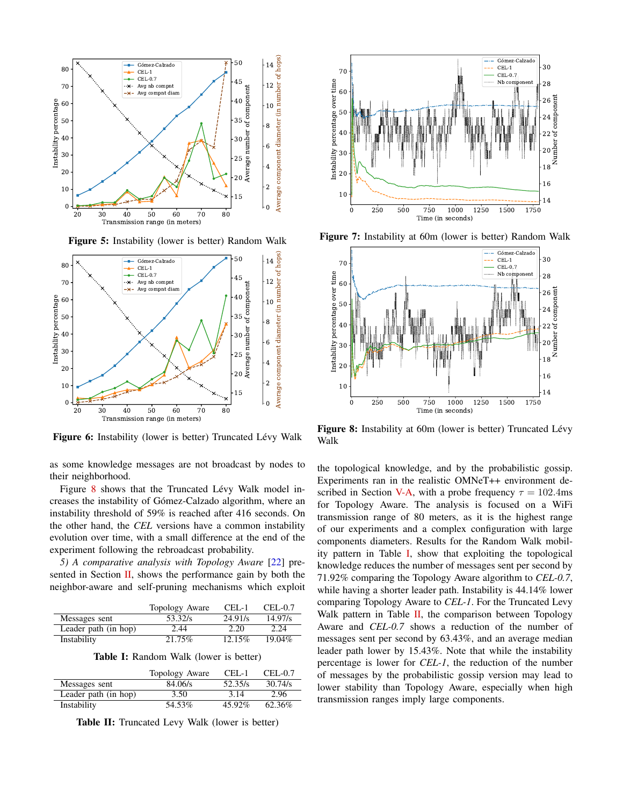<span id="page-6-0"></span>

Figure 5: Instability (lower is better) Random Walk



Figure 6: Instability (lower is better) Truncated Lévy Walk

as some knowledge messages are not broadcast by nodes to their neighborhood.

Figure [8](#page-6-1) shows that the Truncated Lévy Walk model increases the instability of Gómez-Calzado algorithm, where an instability threshold of 59% is reached after 416 seconds. On the other hand, the *CEL* versions have a common instability evolution over time, with a small difference at the end of the experiment following the rebroadcast probability.

*5) A comparative analysis with Topology Aware* [\[22\]](#page-7-20) pre-sented in Section [II,](#page-1-0) shows the performance gain by both the neighbor-aware and self-pruning mechanisms which exploit

<span id="page-6-2"></span>

|                      | Topology Aware | $CEL-1$   | $CEL-0.7$ |
|----------------------|----------------|-----------|-----------|
| Messages sent        | 53.32/s        | 24.91/s   | 14.97/s   |
| Leader path (in hop) | 2.44           | 2.20      | 2.24      |
| Instability          | 21.75%         | $12.15\%$ | $19.04\%$ |

Table I: Random Walk (lower is better)

|                      | Topology Aware | $CEL-1$ | $CEL-0.7$  |
|----------------------|----------------|---------|------------|
| Messages sent        | 84.06/s        | 52.35/s | $30.74$ /s |
| Leader path (in hop) | 3.50           | 3.14    | 2.96       |
| Instability          | 54.53%         | 45.92%  | 62.36%     |

Table II: Truncated Levy Walk (lower is better)

<span id="page-6-1"></span>

Figure 7: Instability at 60m (lower is better) Random Walk



Figure 8: Instability at 60m (lower is better) Truncated Lévy Walk

the topological knowledge, and by the probabilistic gossip. Experiments ran in the realistic OMNeT++ environment de-scribed in Section [V-A,](#page-3-1) with a probe frequency  $\tau = 102.4$ ms for Topology Aware. The analysis is focused on a WiFi transmission range of 80 meters, as it is the highest range of our experiments and a complex configuration with large components diameters. Results for the Random Walk mobility pattern in Table [I,](#page-6-2) show that exploiting the topological knowledge reduces the number of messages sent per second by 71.92% comparing the Topology Aware algorithm to *CEL-0.7*, while having a shorter leader path. Instability is 44.14% lower comparing Topology Aware to *CEL-1*. For the Truncated Levy Walk pattern in Table  $II$ , the comparison between Topology Aware and *CEL-0.7* shows a reduction of the number of messages sent per second by 63.43%, and an average median leader path lower by 15.43%. Note that while the instability percentage is lower for *CEL-1*, the reduction of the number of messages by the probabilistic gossip version may lead to lower stability than Topology Aware, especially when high transmission ranges imply large components.